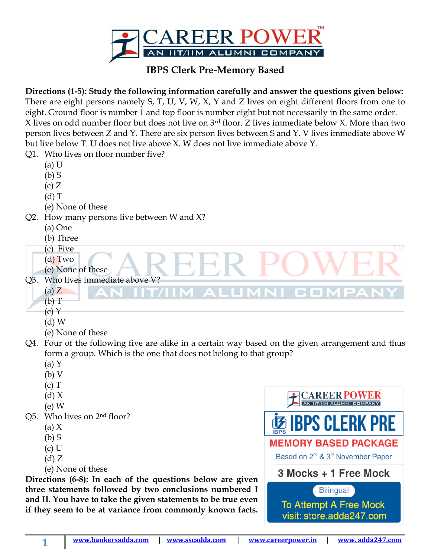

## **IBPS Clerk Pre-Memory Based**

**Directions (1-5): Study the following information carefully and answer the questions given below:** There are eight persons namely S, T, U, V, W, X, Y and Z lives on eight different floors from one to eight. Ground floor is number 1 and top floor is number eight but not necessarily in the same order. X lives on odd number floor but does not live on 3rd floor. Z lives immediate below X. More than two person lives between Z and Y. There are six person lives between S and Y. V lives immediate above W but live below T. U does not live above X. W does not live immediate above Y. Q<sup>1</sup> Who lives on floor number five?

| QI.                                                        | WHO HVES ON HOOT HUMDEL HVE!                                                                      |                                                           |
|------------------------------------------------------------|---------------------------------------------------------------------------------------------------|-----------------------------------------------------------|
|                                                            | $(a)$ U                                                                                           |                                                           |
|                                                            | $(b)$ S                                                                                           |                                                           |
|                                                            | (c) Z                                                                                             |                                                           |
|                                                            | $(d)$ T                                                                                           |                                                           |
|                                                            | (e) None of these                                                                                 |                                                           |
| Q2.                                                        | How many persons live between W and X?                                                            |                                                           |
|                                                            | (a) One                                                                                           |                                                           |
|                                                            | (b) Three                                                                                         |                                                           |
|                                                            | (c) Five                                                                                          |                                                           |
|                                                            | $(d)$ Two                                                                                         |                                                           |
|                                                            | (e) None of these                                                                                 |                                                           |
|                                                            | Q3. Who lives immediate above V?                                                                  |                                                           |
|                                                            | $(a)$ $Z$                                                                                         |                                                           |
|                                                            | (b) T                                                                                             |                                                           |
|                                                            | (c) Y                                                                                             |                                                           |
|                                                            | $(d)$ W                                                                                           |                                                           |
|                                                            | (e) None of these                                                                                 |                                                           |
|                                                            | Q4. Four of the following five are alike in a certain way based on the given arrangement and thus |                                                           |
|                                                            | form a group. Which is the one that does not belong to that group?                                |                                                           |
|                                                            | $(a)$ Y                                                                                           |                                                           |
|                                                            | (b) V                                                                                             |                                                           |
|                                                            | $(c)$ T                                                                                           |                                                           |
|                                                            | (d) X                                                                                             |                                                           |
|                                                            | $(e)$ W                                                                                           |                                                           |
|                                                            | Q5. Who lives on 2 <sup>nd</sup> floor?                                                           | <b>MS IBPS CLERK PRE</b>                                  |
|                                                            | (a) $X$                                                                                           |                                                           |
|                                                            | $(b)$ S                                                                                           | <b>MEMORY BASED PACKAGE</b>                               |
|                                                            | $(c)$ U                                                                                           | Based on 2 <sup>nd</sup> & 3 <sup>rd</sup> November Paper |
|                                                            | (d) Z                                                                                             |                                                           |
|                                                            | (e) None of these                                                                                 | 3 Mocks + 1 Free Mock                                     |
| Directions (6-8): In each of the questions below are given |                                                                                                   |                                                           |
| three statements followed by two conclusions numbered I    |                                                                                                   | <b>Bilingual</b>                                          |

**three statements followed by two conclusions numbered I and II. You have to take the given statements to be true even if they seem to be at variance from commonly known facts.** 

**1**

To Attempt A Free Mock visit: store.adda247.com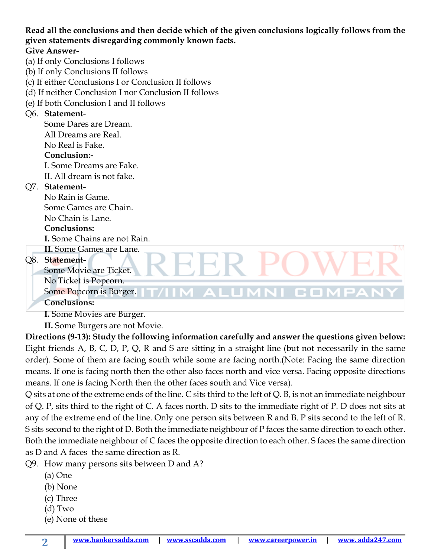**Read all the conclusions and then decide which of the given conclusions logically follows from the given statements disregarding commonly known facts.**

### **Give Answer-**

- (a) If only Conclusions I follows
- (b) If only Conclusions II follows
- (c) If either Conclusions I or Conclusion II follows
- (d) If neither Conclusion I nor Conclusion II follows
- (e) If both Conclusion I and II follows

### Q6. **Statement**-

Some Dares are Dream. All Dreams are Real. No Real is Fake.

## **Conclusion:-**

I. Some Dreams are Fake. II. All dream is not fake.

### Q7. **Statement-**

No Rain is Game. Some Games are Chain.

# No Chain is Lane.

# **Conclusions:**

**I.** Some Chains are not Rain.

# **II.** Some Games are Lane.

## Q8. **Statement-**

Some Movie are Ticket. No Ticket is Popcorn.

Some Popcorn is Burger.

### **Conclusions:**

**I.** Some Movies are Burger.

**II.** Some Burgers are not Movie.

**Directions (9-13): Study the following information carefully and answer the questions given below:** Eight friends A, B, C, D, P, Q, R and S are sitting in a straight line (but not necessarily in the same order). Some of them are facing south while some are facing north.(Note: Facing the same direction means. If one is facing north then the other also faces north and vice versa. Facing opposite directions means. If one is facing North then the other faces south and Vice versa).

ALUMNI CON

Q sits at one of the extreme ends of the line. C sits third to the left of Q. B, is not an immediate neighbour of Q. P, sits third to the right of C. A faces north. D sits to the immediate right of P. D does not sits at any of the extreme end of the line. Only one person sits between R and B. P sits second to the left of R. S sits second to the right of D. Both the immediate neighbour of P faces the same direction to each other. Both the immediate neighbour of C faces the opposite direction to each other. S faces the same direction as D and A faces the same direction as R.

Q9. How many persons sits between D and A?

- (a) One
- (b) None
- (c) Three
- (d) Two

**2**

(e) None of these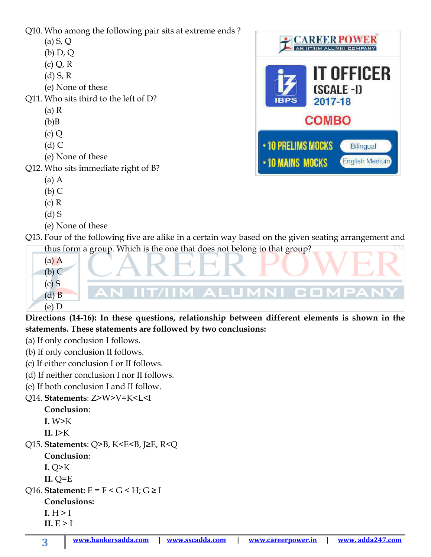Q10. Who among the following pair sits at extreme ends ?

- (a) S, Q
- (b) D, Q
- $(c) Q, R$
- (d) S, R
- (e) None of these
- Q11. Who sits third to the left of D?
	- (a) R
	- $(b)$ B
	- (c) Q
	- $(d)$  C
	- (e) None of these
- Q12. Who sits immediate right of B?
	- (a) A
	- (b) C
	- (c) R
	- (d) S
	- (e) None of these
- Q13. Four of the following five are alike in a certain way based on the given seating arrangement and thus form a group. Which is the one that does not belong to that group?
	- (a) A (b) C  $(c)$  S **IM ALUMNI CON** (d) B (e) D

**Directions (14-16): In these questions, relationship between different elements is shown in the statements. These statements are followed by two conclusions:**

- (a) If only conclusion I follows.
- (b) If only conclusion II follows.
- (c) If either conclusion I or II follows.
- (d) If neither conclusion I nor II follows.
- (e) If both conclusion I and II follow.
- Q14. **Statements**: Z>W>V=K<L<I

**Conclusion**:

- **I.** W>K
- **II.** I>K
- Q15. **Statements**: Q>B, K<E<B, J≥E, R<Q
	- **Conclusion**:
	- **I.** Q>K

**II.** Q=E

- Q16. **Statement:**  $E = F < G < H$ ;  $G \geq I$ 
	- **Conclusions:**
	- $I.H>I$
	- $IL$  $E > I$

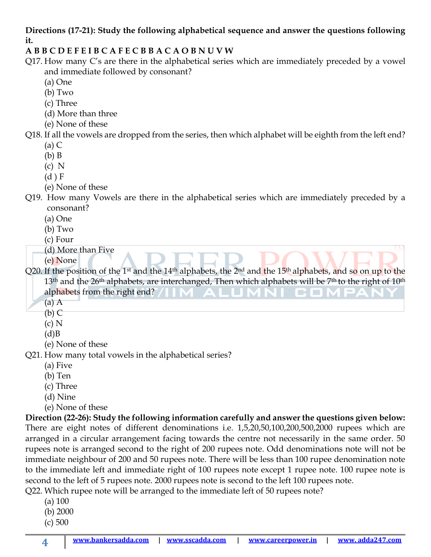## **Directions (17-21): Study the following alphabetical sequence and answer the questions following it.**

## **A B B C D E F E I B C A F E C B B A C A O B N U V W**

- Q17. How many C's are there in the alphabetical series which are immediately preceded by a vowel and immediate followed by consonant?
	- (a) One
	- (b) Two
	- (c) Three
	- (d) More than three
	- (e) None of these
- Q18. If all the vowels are dropped from the series, then which alphabet will be eighth from the left end?
	- (a) C
	- (b) B
	- (c) N
	- (d ) F
	- (e) None of these

Q19. How many Vowels are there in the alphabetical series which are immediately preceded by a consonant?

- (a) One
- (b) Two
- (c) Four
- (d) More than Five

(e) None

Q20. If the position of the 1<sup>st</sup> and the 14<sup>th</sup> alphabets, the 2<sup>nd</sup> and the 15<sup>th</sup> alphabets, and so on up to the 13<sup>th</sup> and the 26<sup>th</sup> alphabets, are interchanged, Then which alphabets will be 7<sup>th</sup> to the right of 10<sup>th</sup> alphabets from the right end?

TМ

- (a) A
- $(b)$  C
- (c) N
- $(d)B$
- (e) None of these

Q21. How many total vowels in the alphabetical series?

- (a) Five
- (b) Ten
- (c) Three
- (d) Nine
- (e) None of these

**Direction (22-26): Study the following information carefully and answer the questions given below:** There are eight notes of different denominations i.e. 1,5,20,50,100,200,500,2000 rupees which are arranged in a circular arrangement facing towards the centre not necessarily in the same order. 50 rupees note is arranged second to the right of 200 rupees note. Odd denominations note will not be immediate neighbour of 200 and 50 rupees note. There will be less than 100 rupee denomination note to the immediate left and immediate right of 100 rupees note except 1 rupee note. 100 rupee note is second to the left of 5 rupees note. 2000 rupees note is second to the left 100 rupees note. Q22. Which rupee note will be arranged to the immediate left of 50 rupees note?

- (a) 100
- (b) 2000
- (c) 500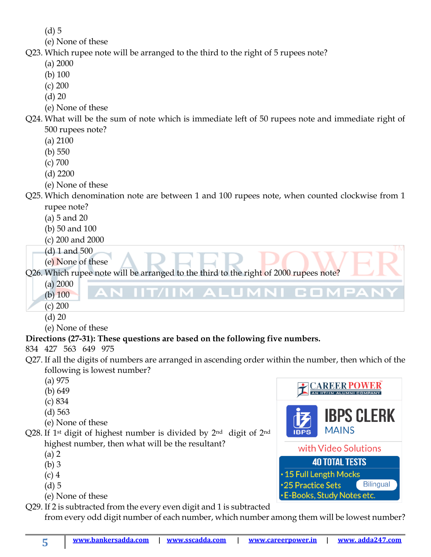(d) 5

- (e) None of these
- Q23. Which rupee note will be arranged to the third to the right of 5 rupees note?
	- (a) 2000
	- (b) 100
	- (c) 200
	- (d) 20
	- (e) None of these
- Q24. What will be the sum of note which is immediate left of 50 rupees note and immediate right of 500 rupees note?
	- (a) 2100
	- (b) 550
	- (c) 700
	- (d) 2200
	- (e) None of these

Q25. Which denomination note are between 1 and 100 rupees note, when counted clockwise from 1 rupee note?

- (a) 5 and 20
- (b) 50 and 100
- (c) 200 and 2000
- (d) 1 and 500
- (e) None of these

Q26. Which rupee note will be arranged to the third to the right of 2000 rupees note?

- (a) 2000
- (b) 100
- (c) 200
- (d) 20
- (e) None of these

# **Directions (27-31): These questions are based on the following five numbers.**

- 834 427 563 649 975
- Q27. If all the digits of numbers are arranged in ascending order within the number, then which of the following is lowest number?
	- (a) 975
	- (b) 649
	- (c) 834
	- (d) 563
	- (e) None of these
- Q28. If 1st digit of highest number is divided by 2nd digit of 2nd highest number, then what will be the resultant?
	- (a) 2
	- (b) 3
	- (c) 4
	- (d) 5
	- (e) None of these
- Q29. If 2 is subtracted from the every even digit and 1 is subtracted

from every odd digit number of each number, which number among them will be lowest number?



C.ON